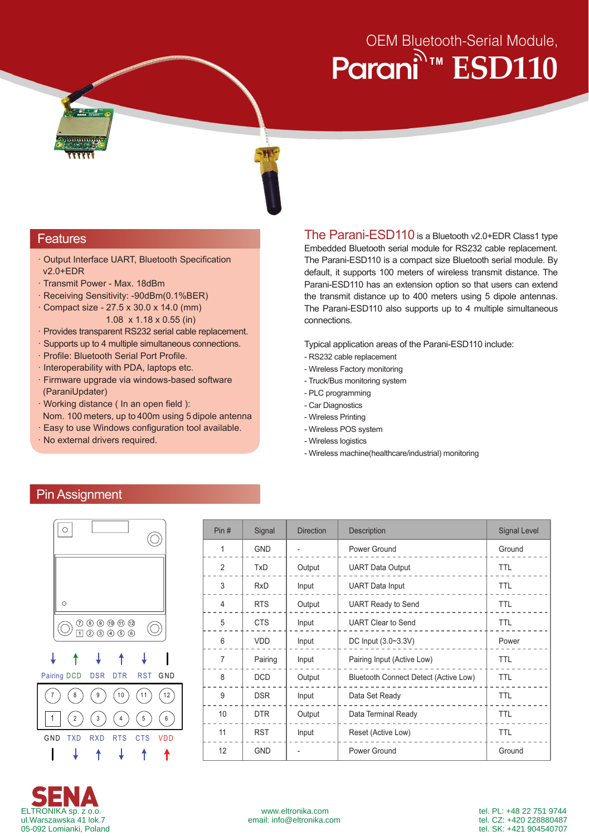# OEM Bluetooth-Serial Module, **Parani** ESD110



## **Features**

- · Output Interface UART, Bluetooth Specification v2.0+EDR
- · Transmit Power Max. 18dBm
- · Receiving Sensitivity: -90dBm(0.1%BER)
- · Compact size 27.5 x 30.0 x 14.0 (mm) 1.08 x 1.18 x 0.55 (in)
- · Provides transparent RS232 serial cable replacement.
- · Supports up to 4 multiple simultaneous connections.
- · Profile: Bluetooth Serial Port Profile.
- · Interoperability with PDA, laptops etc.
- · Firmware upgrade via windows-based software (ParaniUpdater)
- · Working distance ( In an open field ): Nom. 100 meters, up to 400m using 5 dipole antenna
- · Easy to use Windows configuration tool available.
- · No external drivers required.

The Parani-ESD110 is a Bluetooth v2.0+EDR Class1 type Embedded Bluetooth serial module for RS232 cable replacement. The Parani-ESD110 is a compact size Bluetooth serial module. By default, it supports 100 meters of wireless transmit distance. The Parani-ESD110 has an extension option so that users can extend the transmit distance up to 400 meters using 5 dipole antennas. The Parani-ESD110 also supports up to 4 multiple simultaneous connections.

Typical application areas of the Parani-ESD110 include:

- RS232 cable replacement
- Wireless Factory monitoring
- Truck/Bus monitoring system
- PLC programming
- Car Diagnostics
- Wireless Printing
- Wireless POS system
- Wireless logistics
- Wireless machine(healthcare/industrial) monitoring

# Pin Assignment



| Pin#           | Signal     | <b>Direction</b> | Description                           | <b>Signal Level</b> |
|----------------|------------|------------------|---------------------------------------|---------------------|
| 1              | <b>GND</b> |                  | Power Ground                          | Ground              |
| 2              | TxD        | Output           | <b>UART Data Output</b>               | TTL                 |
| 3              | <b>RxD</b> | Input            | <b>UART</b> Data Input                | <b>TTL</b>          |
| 4              | <b>RTS</b> | Output           | <b>UART Ready to Send</b>             | <b>TTL</b>          |
| 5              | <b>CTS</b> | Input            | <b>UART Clear to Send</b>             | <b>TTL</b>          |
| 6              | <b>VDD</b> | Input            | DC Input (3.0~3.3V)                   | Power               |
| $\overline{7}$ | Pairing    | Input            | Pairing Input (Active Low)            | TTL                 |
| 8              | <b>DCD</b> | Output           | Bluetooth Connect Detect (Active Low) | <b>TTL</b>          |
| 9              | <b>DSR</b> | Input            | Data Set Ready                        | <b>TTL</b>          |
| 10             | <b>DTR</b> | Output           | Data Terminal Ready                   | <b>TTL</b>          |
| 11             | <b>RST</b> | Input            | Reset (Active Low)                    | <b>TTL</b>          |
| 12             | <b>GND</b> |                  | Power Ground                          | Ground              |